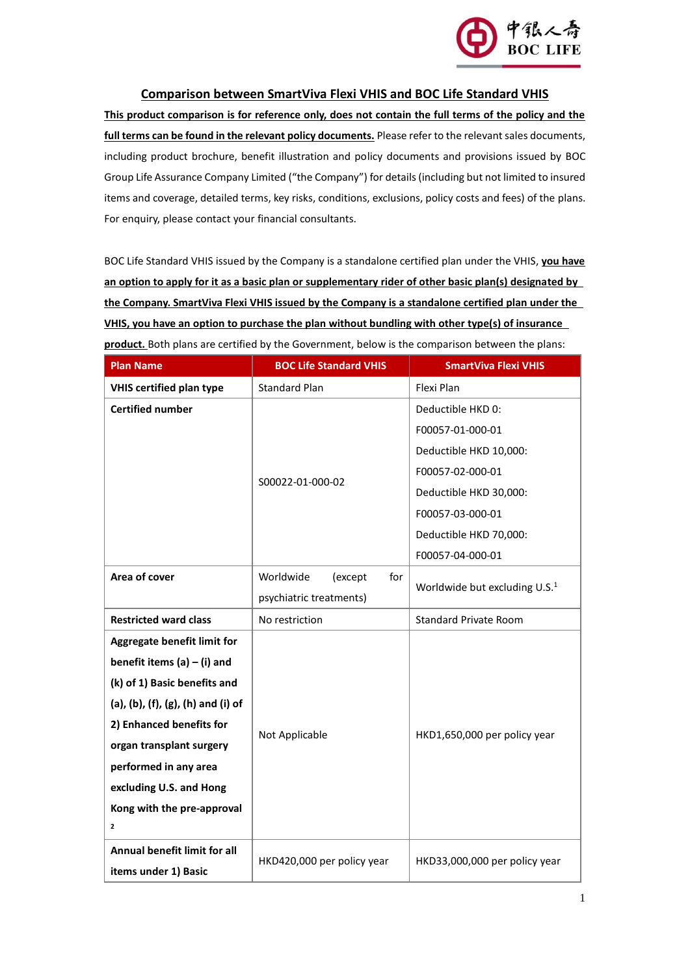

## **Comparison between SmartViva Flexi VHIS and BOC Life Standard VHIS**

**This product comparison is for reference only, does not contain the full terms of the policy and the full terms can be found in the relevant policy documents.** Please refer to the relevant sales documents, including product brochure, benefit illustration and policy documents and provisions issued by BOC Group Life Assurance Company Limited ("the Company") for details (including but not limited to insured items and coverage, detailed terms, key risks, conditions, exclusions, policy costs and fees) of the plans. For enquiry, please contact your financial consultants.

BOC Life Standard VHIS issued by the Company is a standalone certified plan under the VHIS, **you have an option to apply for it as a basic plan or supplementary rider of other basic plan(s) designated by the Company. SmartViva Flexi VHIS issued by the Company is a standalone certified plan under the VHIS, you have an option to purchase the plan without bundling with other type(s) of insurance product.** Both plans are certified by the Government, below is the comparison between the plans:

| <b>Plan Name</b>                    | <b>BOC Life Standard VHIS</b>                                                                       | <b>SmartViva Flexi VHIS</b>   |
|-------------------------------------|-----------------------------------------------------------------------------------------------------|-------------------------------|
| <b>VHIS certified plan type</b>     | <b>Standard Plan</b>                                                                                | Flexi Plan                    |
| <b>Certified number</b>             |                                                                                                     | Deductible HKD 0:             |
|                                     |                                                                                                     | F00057-01-000-01              |
|                                     |                                                                                                     | Deductible HKD 10,000:        |
|                                     | S00022-01-000-02                                                                                    | F00057-02-000-01              |
|                                     |                                                                                                     | Deductible HKD 30,000:        |
|                                     |                                                                                                     | F00057-03-000-01              |
|                                     |                                                                                                     | Deductible HKD 70,000:        |
|                                     |                                                                                                     | F00057-04-000-01              |
| Area of cover                       | Worldwide<br>(except<br>for<br>Worldwide but excluding U.S. <sup>1</sup><br>psychiatric treatments) |                               |
|                                     |                                                                                                     |                               |
| <b>Restricted ward class</b>        | No restriction                                                                                      | <b>Standard Private Room</b>  |
| <b>Aggregate benefit limit for</b>  |                                                                                                     |                               |
| benefit items $(a) - (i)$ and       |                                                                                                     |                               |
| (k) of 1) Basic benefits and        |                                                                                                     | HKD1,650,000 per policy year  |
| (a), (b), (f), (g), (h) and (i) of  |                                                                                                     |                               |
| 2) Enhanced benefits for            |                                                                                                     |                               |
| organ transplant surgery            | Not Applicable                                                                                      |                               |
| performed in any area               |                                                                                                     |                               |
| excluding U.S. and Hong             |                                                                                                     |                               |
| Kong with the pre-approval          |                                                                                                     |                               |
| $\mathbf{z}$                        |                                                                                                     |                               |
| <b>Annual benefit limit for all</b> | HKD420,000 per policy year                                                                          | HKD33,000,000 per policy year |
| items under 1) Basic                |                                                                                                     |                               |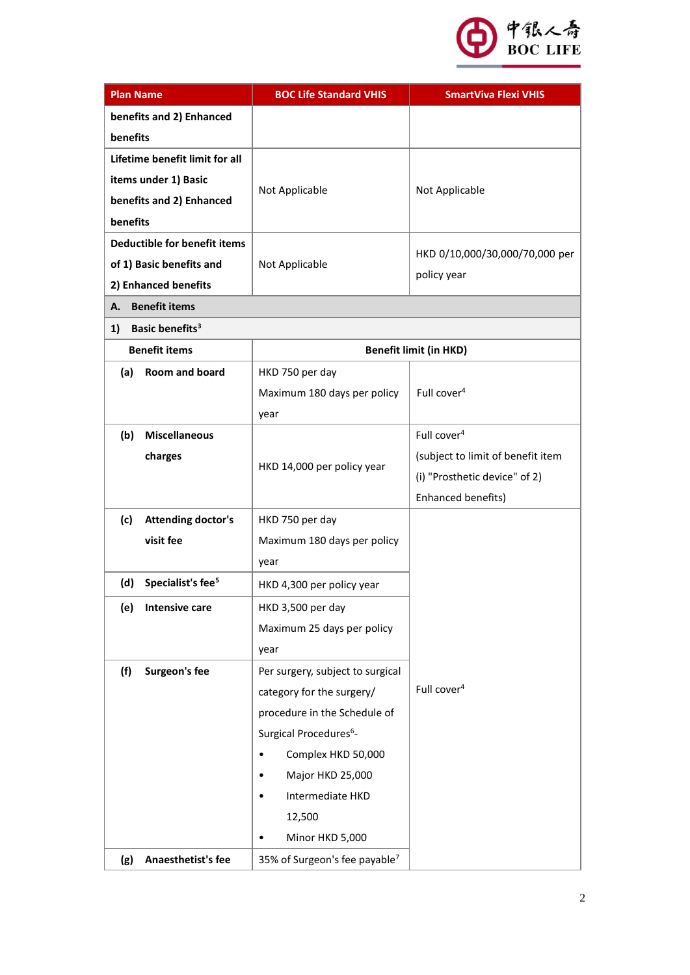

| <b>Plan Name</b>                     | <b>BOC Life Standard VHIS</b>             | <b>SmartViva Flexi VHIS</b>       |
|--------------------------------------|-------------------------------------------|-----------------------------------|
| benefits and 2) Enhanced             |                                           |                                   |
| benefits                             |                                           |                                   |
| Lifetime benefit limit for all       |                                           |                                   |
| items under 1) Basic                 |                                           |                                   |
| benefits and 2) Enhanced             | Not Applicable                            | Not Applicable                    |
| benefits                             |                                           |                                   |
| Deductible for benefit items         |                                           |                                   |
| of 1) Basic benefits and             | Not Applicable                            | HKD 0/10,000/30,000/70,000 per    |
| 2) Enhanced benefits                 |                                           | policy year                       |
| <b>Benefit items</b><br>А.           |                                           |                                   |
| Basic benefits <sup>3</sup><br>1)    |                                           |                                   |
| <b>Benefit items</b>                 |                                           | <b>Benefit limit (in HKD)</b>     |
| (a)<br>Room and board                | HKD 750 per day                           |                                   |
|                                      | Maximum 180 days per policy               | Full cover <sup>4</sup>           |
|                                      | year                                      |                                   |
| (b)<br><b>Miscellaneous</b>          |                                           | Full cover <sup>4</sup>           |
| charges                              |                                           | (subject to limit of benefit item |
|                                      | HKD 14,000 per policy year                | (i) "Prosthetic device" of 2)     |
|                                      |                                           | Enhanced benefits)                |
| <b>Attending doctor's</b><br>(c)     | HKD 750 per day                           |                                   |
| visit fee                            | Maximum 180 days per policy               |                                   |
|                                      | year                                      |                                   |
| Specialist's fee <sup>5</sup><br>(d) | HKD 4,300 per policy year                 |                                   |
| <b>Intensive care</b><br>(e)         | HKD 3,500 per day                         |                                   |
|                                      | Maximum 25 days per policy                |                                   |
|                                      | year                                      |                                   |
| (f)<br>Surgeon's fee                 | Per surgery, subject to surgical          |                                   |
|                                      | category for the surgery/                 | Full cover <sup>4</sup>           |
|                                      | procedure in the Schedule of              |                                   |
|                                      | Surgical Procedures <sup>6</sup> -        |                                   |
|                                      | Complex HKD 50,000                        |                                   |
|                                      | Major HKD 25,000<br>$\bullet$             |                                   |
|                                      | Intermediate HKD                          |                                   |
|                                      | 12,500                                    |                                   |
|                                      | Minor HKD 5,000                           |                                   |
| Anaesthetist's fee<br>(g)            | 35% of Surgeon's fee payable <sup>7</sup> |                                   |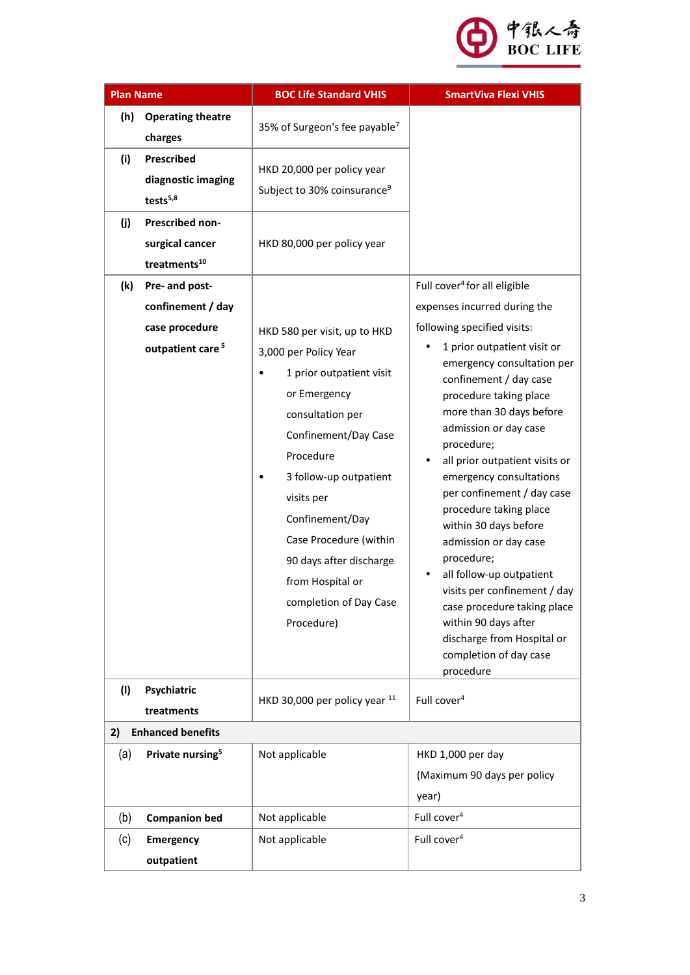

| <b>Plan Name</b> |                                                                                       | <b>BOC Life Standard VHIS</b>                                                                                                                                                                                                     | <b>SmartViva Flexi VHIS</b>                                                                                                                                                                                                                                                                                                                                                                                                                  |
|------------------|---------------------------------------------------------------------------------------|-----------------------------------------------------------------------------------------------------------------------------------------------------------------------------------------------------------------------------------|----------------------------------------------------------------------------------------------------------------------------------------------------------------------------------------------------------------------------------------------------------------------------------------------------------------------------------------------------------------------------------------------------------------------------------------------|
| (h)              | <b>Operating theatre</b><br>charges                                                   | 35% of Surgeon's fee payable <sup>7</sup>                                                                                                                                                                                         |                                                                                                                                                                                                                                                                                                                                                                                                                                              |
| (i)              | <b>Prescribed</b><br>diagnostic imaging<br>tests <sup>5,8</sup>                       | HKD 20,000 per policy year<br>Subject to 30% coinsurance <sup>9</sup>                                                                                                                                                             |                                                                                                                                                                                                                                                                                                                                                                                                                                              |
| (j)              | Prescribed non-<br>surgical cancer<br>treatments <sup>10</sup>                        | HKD 80,000 per policy year                                                                                                                                                                                                        |                                                                                                                                                                                                                                                                                                                                                                                                                                              |
| (k)              | Pre- and post-<br>confinement / day<br>case procedure<br>outpatient care <sup>5</sup> | HKD 580 per visit, up to HKD<br>3,000 per Policy Year<br>1 prior outpatient visit<br>or Emergency                                                                                                                                 | Full cover <sup>4</sup> for all eligible<br>expenses incurred during the<br>following specified visits:<br>1 prior outpatient visit or<br>emergency consultation per<br>confinement / day case<br>procedure taking place                                                                                                                                                                                                                     |
|                  |                                                                                       | consultation per<br>Confinement/Day Case<br>Procedure<br>3 follow-up outpatient<br>visits per<br>Confinement/Day<br>Case Procedure (within<br>90 days after discharge<br>from Hospital or<br>completion of Day Case<br>Procedure) | more than 30 days before<br>admission or day case<br>procedure;<br>all prior outpatient visits or<br>emergency consultations<br>per confinement / day case<br>procedure taking place<br>within 30 days before<br>admission or day case<br>procedure;<br>all follow-up outpatient<br>visits per confinement / day<br>case procedure taking place<br>within 90 days after<br>discharge from Hospital or<br>completion of day case<br>procedure |
| (1)              | Psychiatric<br>treatments                                                             | HKD 30,000 per policy year 11                                                                                                                                                                                                     | Full cover <sup>4</sup>                                                                                                                                                                                                                                                                                                                                                                                                                      |
| 2)               | <b>Enhanced benefits</b>                                                              |                                                                                                                                                                                                                                   |                                                                                                                                                                                                                                                                                                                                                                                                                                              |
| (a)              | Private nursing <sup>5</sup>                                                          | Not applicable                                                                                                                                                                                                                    | HKD 1,000 per day<br>(Maximum 90 days per policy<br>year)                                                                                                                                                                                                                                                                                                                                                                                    |
| (b)              | <b>Companion bed</b>                                                                  | Not applicable                                                                                                                                                                                                                    | Full cover <sup>4</sup>                                                                                                                                                                                                                                                                                                                                                                                                                      |
| (c)              | <b>Emergency</b><br>outpatient                                                        | Not applicable                                                                                                                                                                                                                    | Full cover <sup>4</sup>                                                                                                                                                                                                                                                                                                                                                                                                                      |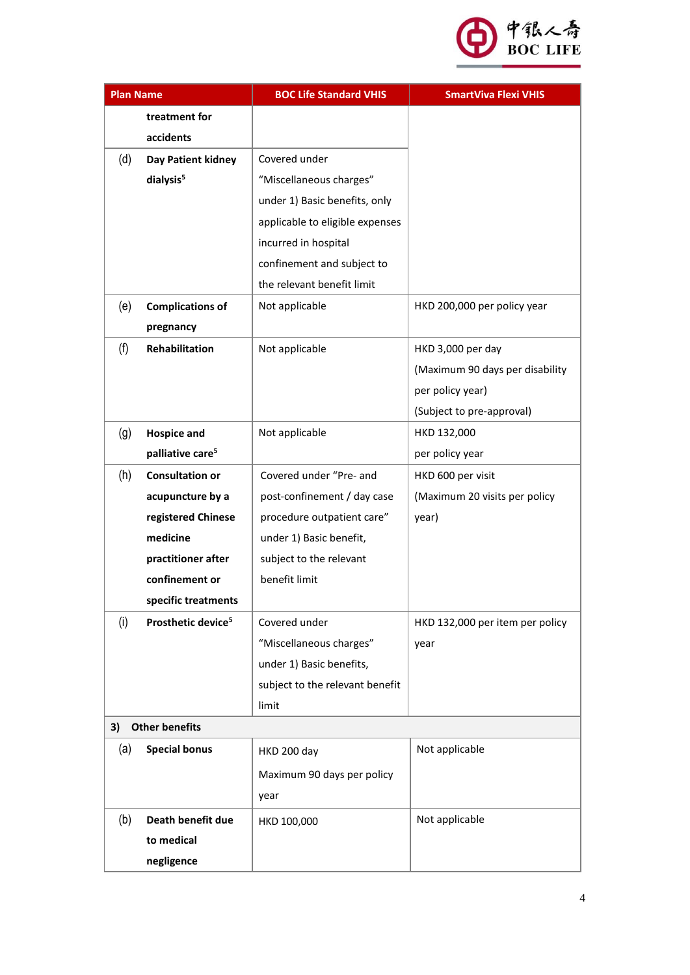

| <b>Plan Name</b> |                                | <b>BOC Life Standard VHIS</b>   | <b>SmartViva Flexi VHIS</b>     |
|------------------|--------------------------------|---------------------------------|---------------------------------|
|                  | treatment for                  |                                 |                                 |
|                  | accidents                      |                                 |                                 |
| (d)              | Day Patient kidney             | Covered under                   |                                 |
|                  | dialysis <sup>5</sup>          | "Miscellaneous charges"         |                                 |
|                  |                                | under 1) Basic benefits, only   |                                 |
|                  |                                | applicable to eligible expenses |                                 |
|                  |                                | incurred in hospital            |                                 |
|                  |                                | confinement and subject to      |                                 |
|                  |                                | the relevant benefit limit      |                                 |
| (e)              | <b>Complications of</b>        | Not applicable                  | HKD 200,000 per policy year     |
|                  | pregnancy                      |                                 |                                 |
| (f)              | Rehabilitation                 | Not applicable                  | HKD 3,000 per day               |
|                  |                                |                                 | (Maximum 90 days per disability |
|                  |                                |                                 | per policy year)                |
|                  |                                |                                 | (Subject to pre-approval)       |
| (g)              | <b>Hospice and</b>             | Not applicable                  | HKD 132,000                     |
|                  | palliative care <sup>5</sup>   |                                 | per policy year                 |
| (h)              | <b>Consultation or</b>         | Covered under "Pre- and         | HKD 600 per visit               |
|                  | acupuncture by a               | post-confinement / day case     | (Maximum 20 visits per policy   |
|                  | registered Chinese             | procedure outpatient care"      | year)                           |
|                  | medicine                       | under 1) Basic benefit,         |                                 |
|                  | practitioner after             | subject to the relevant         |                                 |
|                  | confinement or                 | benefit limit                   |                                 |
|                  | specific treatments            |                                 |                                 |
| (i)              | Prosthetic device <sup>5</sup> | Covered under                   | HKD 132,000 per item per policy |
|                  |                                | "Miscellaneous charges"         | year                            |
|                  |                                | under 1) Basic benefits,        |                                 |
|                  |                                | subject to the relevant benefit |                                 |
|                  |                                | limit                           |                                 |
| 3)               | <b>Other benefits</b>          |                                 |                                 |
| (a)              | <b>Special bonus</b>           | HKD 200 day                     | Not applicable                  |
|                  |                                | Maximum 90 days per policy      |                                 |
|                  |                                | year                            |                                 |
| (b)              | Death benefit due              | HKD 100,000                     | Not applicable                  |
|                  | to medical                     |                                 |                                 |
|                  | negligence                     |                                 |                                 |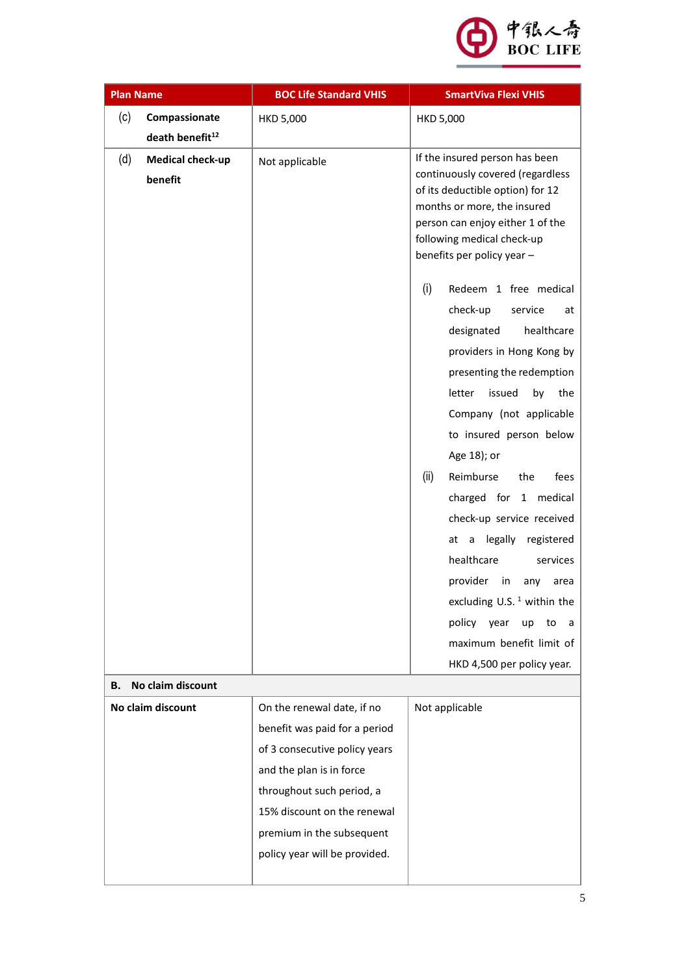

| <b>Plan Name</b>  |                             | <b>BOC Life Standard VHIS</b> | <b>SmartViva Flexi VHIS</b>                                          |
|-------------------|-----------------------------|-------------------------------|----------------------------------------------------------------------|
| (c)               | Compassionate               | <b>HKD 5,000</b>              | <b>HKD 5,000</b>                                                     |
|                   | death benefit <sup>12</sup> |                               |                                                                      |
| (d)               | Medical check-up            | Not applicable                | If the insured person has been                                       |
|                   | benefit                     |                               | continuously covered (regardless<br>of its deductible option) for 12 |
|                   |                             |                               | months or more, the insured                                          |
|                   |                             |                               | person can enjoy either 1 of the                                     |
|                   |                             |                               | following medical check-up<br>benefits per policy year -             |
|                   |                             |                               |                                                                      |
|                   |                             |                               | (i)<br>Redeem 1 free medical                                         |
|                   |                             |                               | check-up<br>service<br>at                                            |
|                   |                             |                               | designated<br>healthcare                                             |
|                   |                             |                               | providers in Hong Kong by                                            |
|                   |                             |                               | presenting the redemption                                            |
|                   |                             |                               | issued<br>letter<br>by<br>the                                        |
|                   |                             |                               | Company (not applicable                                              |
|                   |                             |                               | to insured person below                                              |
|                   |                             |                               | Age 18); or                                                          |
|                   |                             |                               | (ii)<br>Reimburse<br>the<br>fees                                     |
|                   |                             |                               | charged for 1 medical                                                |
|                   |                             |                               | check-up service received                                            |
|                   |                             |                               | at a legally<br>registered<br>healthcare<br>services                 |
|                   |                             |                               | provider<br>in<br>any<br>area                                        |
|                   |                             |                               | excluding U.S. $1$ within the                                        |
|                   |                             |                               | policy year<br>up<br>to<br>a                                         |
|                   |                             |                               | maximum benefit limit of                                             |
|                   |                             |                               | HKD 4,500 per policy year.                                           |
| В.                | No claim discount           |                               |                                                                      |
| No claim discount |                             | On the renewal date, if no    | Not applicable                                                       |
|                   |                             | benefit was paid for a period |                                                                      |
|                   |                             | of 3 consecutive policy years |                                                                      |
|                   |                             | and the plan is in force      |                                                                      |
|                   |                             | throughout such period, a     |                                                                      |
|                   |                             | 15% discount on the renewal   |                                                                      |
|                   |                             | premium in the subsequent     |                                                                      |
|                   |                             | policy year will be provided. |                                                                      |
|                   |                             |                               |                                                                      |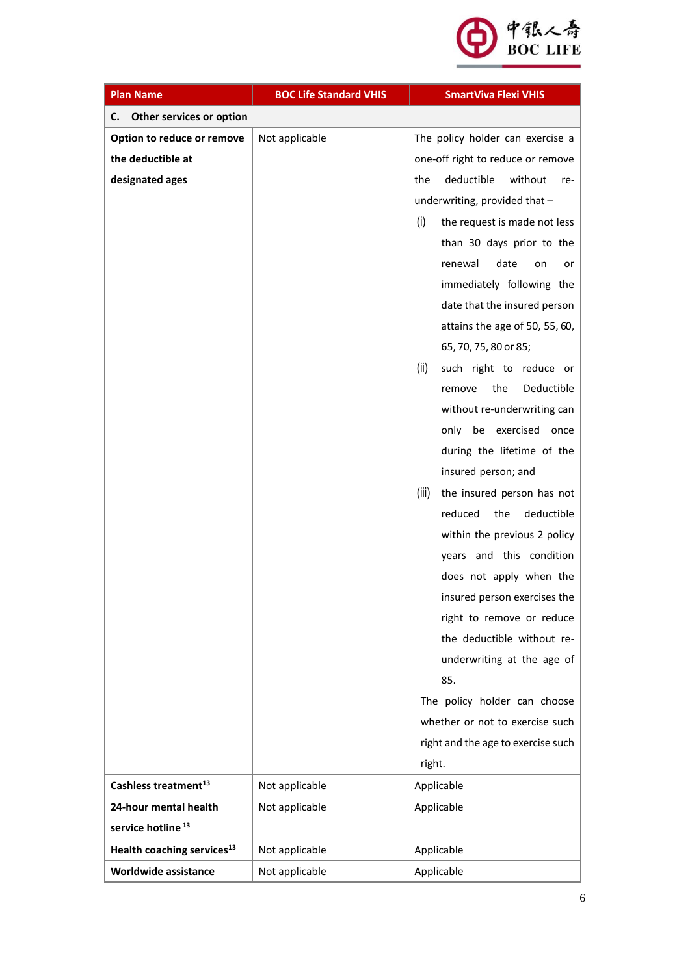

| <b>Plan Name</b>                       | <b>BOC Life Standard VHIS</b> | <b>SmartViva Flexi VHIS</b>         |
|----------------------------------------|-------------------------------|-------------------------------------|
| Other services or option<br>С.         |                               |                                     |
| Option to reduce or remove             | Not applicable                | The policy holder can exercise a    |
| the deductible at                      |                               | one-off right to reduce or remove   |
| designated ages                        |                               | deductible<br>without<br>the<br>re- |
|                                        |                               | underwriting, provided that -       |
|                                        |                               | (i)<br>the request is made not less |
|                                        |                               | than 30 days prior to the           |
|                                        |                               | date<br>renewal<br>on<br>or         |
|                                        |                               | immediately following the           |
|                                        |                               | date that the insured person        |
|                                        |                               | attains the age of 50, 55, 60,      |
|                                        |                               | 65, 70, 75, 80 or 85;               |
|                                        |                               | (ii)<br>such right to reduce or     |
|                                        |                               | the<br>Deductible<br>remove         |
|                                        |                               | without re-underwriting can         |
|                                        |                               | only be exercised once              |
|                                        |                               | during the lifetime of the          |
|                                        |                               | insured person; and                 |
|                                        |                               | (iii)<br>the insured person has not |
|                                        |                               | reduced<br>the<br>deductible        |
|                                        |                               | within the previous 2 policy        |
|                                        |                               | years and this condition            |
|                                        |                               | does not apply when the             |
|                                        |                               | insured person exercises the        |
|                                        |                               | right to remove or reduce           |
|                                        |                               | the deductible without re-          |
|                                        |                               | underwriting at the age of          |
|                                        |                               | 85.                                 |
|                                        |                               | The policy holder can choose        |
|                                        |                               | whether or not to exercise such     |
|                                        |                               | right and the age to exercise such  |
|                                        |                               | right.                              |
| Cashless treatment <sup>13</sup>       | Not applicable                | Applicable                          |
| 24-hour mental health                  | Not applicable                | Applicable                          |
| service hotline <sup>13</sup>          |                               |                                     |
| Health coaching services <sup>13</sup> | Not applicable                | Applicable                          |
| Worldwide assistance                   | Not applicable                | Applicable                          |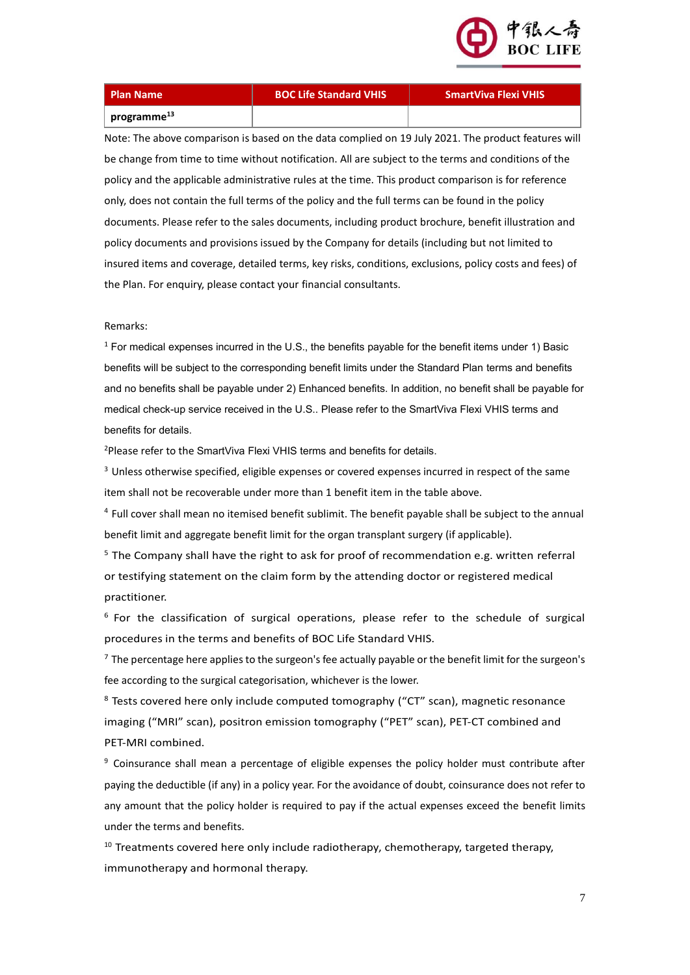

| <b>Plan Name</b>        | <b>BOC Life Sta</b> |
|-------------------------|---------------------|
| programme <sup>13</sup> |                     |

## **Plan Name BOC Life Standard VHIS SmartViva Flexi VHIS**

Note: The above comparison is based on the data complied on 19 July 2021. The product features will be change from time to time without notification. All are subject to the terms and conditions of the policy and the applicable administrative rules at the time. This product comparison is for reference only, does not contain the full terms of the policy and the full terms can be found in the policy documents. Please refer to the sales documents, including product brochure, benefit illustration and policy documents and provisions issued by the Company for details (including but not limited to insured items and coverage, detailed terms, key risks, conditions, exclusions, policy costs and fees) of the Plan. For enquiry, please contact your financial consultants.

Remarks:

 $1$  For medical expenses incurred in the U.S., the benefits payable for the benefit items under 1) Basic benefits will be subject to the corresponding benefit limits under the Standard Plan terms and benefits and no benefits shall be payable under 2) Enhanced benefits. In addition, no benefit shall be payable for medical check-up service received in the U.S.. Please refer to the SmartViva Flexi VHIS terms and benefits for details.

<sup>2</sup>Please refer to the SmartViva Flexi VHIS terms and benefits for details.

<sup>3</sup> Unless otherwise specified, eligible expenses or covered expenses incurred in respect of the same item shall not be recoverable under more than 1 benefit item in the table above.

<sup>4</sup> Full cover shall mean no itemised benefit sublimit. The benefit payable shall be subject to the annual benefit limit and aggregate benefit limit for the organ transplant surgery (if applicable).

 $5$  The Company shall have the right to ask for proof of recommendation e.g. written referral or testifying statement on the claim form by the attending doctor or registered medical practitioner.

<sup>6</sup> For the classification of surgical operations, please refer to the schedule of surgical procedures in the terms and benefits of BOC Life Standard VHIS.

<sup>7</sup> The percentage here applies to the surgeon's fee actually payable or the benefit limit for the surgeon's fee according to the surgical categorisation, whichever is the lower.

<sup>8</sup> Tests covered here only include computed tomography ("CT" scan), magnetic resonance imaging ("MRI" scan), positron emission tomography ("PET" scan), PET-CT combined and PET-MRI combined.

<sup>9</sup> Coinsurance shall mean a percentage of eligible expenses the policy holder must contribute after paying the deductible (if any) in a policy year. For the avoidance of doubt, coinsurance does not refer to any amount that the policy holder is required to pay if the actual expenses exceed the benefit limits under the terms and benefits.

 $10$  Treatments covered here only include radiotherapy, chemotherapy, targeted therapy, immunotherapy and hormonal therapy.